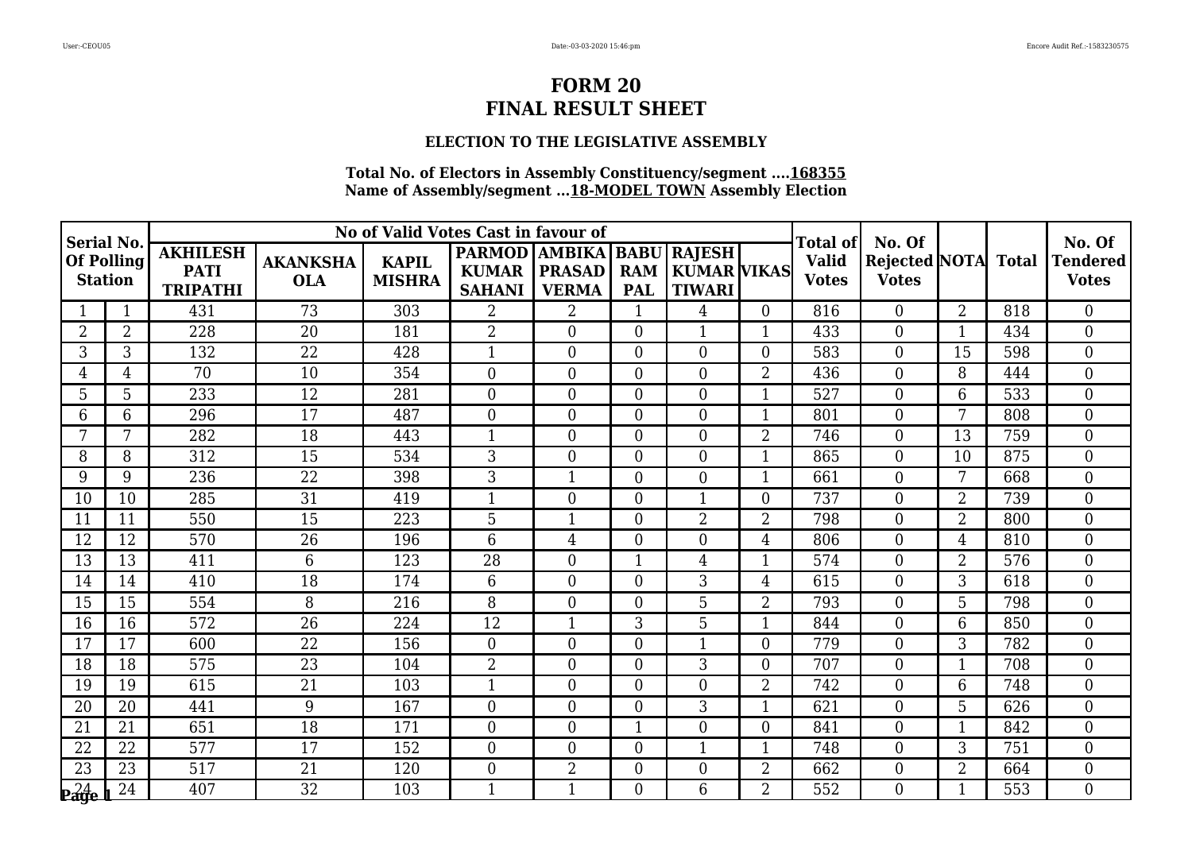# **ELECTION TO THE LEGISLATIVE ASSEMBLY**

| <b>Serial No.</b>            |                |                                                   |                               | No of Valid Votes Cast in favour of |                                                            |                               |                          |                                                     |                | Total of<br>No. Of           |                                      |                |       | No. Of<br><b>Tendered</b><br><b>Votes</b> |
|------------------------------|----------------|---------------------------------------------------|-------------------------------|-------------------------------------|------------------------------------------------------------|-------------------------------|--------------------------|-----------------------------------------------------|----------------|------------------------------|--------------------------------------|----------------|-------|-------------------------------------------|
| Of Polling<br><b>Station</b> |                | <b>AKHILESH</b><br><b>PATI</b><br><b>TRIPATHI</b> | <b>AKANKSHA</b><br><b>OLA</b> | <b>KAPIL</b><br><b>MISHRA</b>       | <b>PARMOD AMBIKA BABU</b><br><b>KUMAR</b><br><b>SAHANI</b> | <b>PRASAD</b><br><b>VERMA</b> | <b>RAM</b><br><b>PAL</b> | <b>RAJESH</b><br>  KUMAR   VIKAS  <br><b>TIWARI</b> |                | <b>Valid</b><br><b>Votes</b> | <b>Rejected NOTA</b><br><b>Votes</b> |                | Total |                                           |
|                              | $\mathbf{1}$   | 431                                               | 73                            | 303                                 | $\overline{2}$                                             | $\overline{2}$                | $\mathbf{1}$             | 4                                                   | $\overline{0}$ | 816                          | $\Omega$                             | $\overline{2}$ | 818   | $\theta$                                  |
| $\overline{2}$               | $\overline{2}$ | 228                                               | 20                            | 181                                 | $\overline{2}$                                             | $\theta$                      | $\boldsymbol{0}$         | $\mathbf{1}$                                        | 1              | 433                          | $\overline{0}$                       | $\mathbf 1$    | 434   | $\boldsymbol{0}$                          |
| 3                            | 3              | 132                                               | 22                            | 428                                 | $\mathbf{1}$                                               | $\overline{0}$                | $\boldsymbol{0}$         | $\overline{0}$                                      | $\overline{0}$ | 583                          | $\overline{0}$                       | 15             | 598   | $\boldsymbol{0}$                          |
| 4                            | 4              | 70                                                | 10                            | 354                                 | $\overline{0}$                                             | $\theta$                      | $\overline{0}$           | $\Omega$                                            | $\overline{2}$ | 436                          | $\boldsymbol{0}$                     | 8              | 444   | $\mathbf{0}$                              |
| 5                            | 5              | 233                                               | 12                            | 281                                 | $\overline{0}$                                             | $\overline{0}$                | $\boldsymbol{0}$         | $\overline{0}$                                      | $\mathbf{1}$   | 527                          | $\boldsymbol{0}$                     | 6              | 533   | $\overline{0}$                            |
| 6                            | 6              | 296                                               | 17                            | 487                                 | $\overline{0}$                                             | $\overline{0}$                | $\overline{0}$           | $\overline{0}$                                      | $\mathbf{1}$   | 801                          | $\boldsymbol{0}$                     | 7              | 808   | $\mathbf{0}$                              |
| 7                            | 7              | 282                                               | 18                            | 443                                 | $\mathbf{1}$                                               | $\Omega$                      | $\overline{0}$           | $\Omega$                                            | $\overline{2}$ | 746                          | $\overline{0}$                       | 13             | 759   | $\overline{0}$                            |
| 8                            | 8              | 312                                               | 15                            | 534                                 | 3                                                          | $\theta$                      | $\boldsymbol{0}$         | $\overline{0}$                                      | 1              | 865                          | $\overline{0}$                       | 10             | 875   | $\overline{0}$                            |
| 9                            | 9              | 236                                               | $\overline{22}$               | 398                                 | 3                                                          | $\mathbf{1}$                  | $\boldsymbol{0}$         | $\overline{0}$                                      | $\mathbf{1}$   | 661                          | $\boldsymbol{0}$                     | 7              | 668   | $\mathbf{0}$                              |
| 10                           | 10             | 285                                               | 31                            | 419                                 | $\mathbf{1}$                                               | $\theta$                      | $\overline{0}$           | 1                                                   | $\overline{0}$ | 737                          | $\boldsymbol{0}$                     | $\overline{2}$ | 739   | $\mathbf{0}$                              |
| 11                           | 11             | 550                                               | 15                            | 223                                 | 5                                                          | 1                             | $\boldsymbol{0}$         | $\overline{2}$                                      | $\overline{2}$ | 798                          | $\boldsymbol{0}$                     | $\overline{2}$ | 800   | $\mathbf{0}$                              |
| 12                           | 12             | 570                                               | 26                            | 196                                 | 6                                                          | $\overline{4}$                | $\overline{0}$           | $\overline{0}$                                      | 4              | 806                          | $\boldsymbol{0}$                     | $\overline{4}$ | 810   | $\mathbf{0}$                              |
| 13                           | 13             | 411                                               | 6                             | 123                                 | 28                                                         | $\theta$                      | $\mathbf{1}$             | $\overline{4}$                                      | $\mathbf{1}$   | 574                          | $\overline{0}$                       | $\overline{2}$ | 576   | $\boldsymbol{0}$                          |
| 14                           | 14             | 410                                               | 18                            | 174                                 | 6                                                          | $\theta$                      | $\overline{0}$           | 3                                                   | $\overline{4}$ | 615                          | $\boldsymbol{0}$                     | 3              | 618   | $\mathbf{0}$                              |
| 15                           | 15             | 554                                               | 8                             | 216                                 | 8                                                          | $\theta$                      | $\overline{0}$           | $5\phantom{.0}$                                     | $\overline{2}$ | 793                          | $\boldsymbol{0}$                     | 5              | 798   | $\mathbf{0}$                              |
| 16                           | 16             | 572                                               | 26                            | 224                                 | 12                                                         | 1                             | 3                        | 5                                                   | $\mathbf{1}$   | 844                          | $\boldsymbol{0}$                     | 6              | 850   | $\boldsymbol{0}$                          |
| 17                           | 17             | 600                                               | 22                            | 156                                 | $\overline{0}$                                             | $\overline{0}$                | $\boldsymbol{0}$         | $\mathbf{1}$                                        | $\overline{0}$ | 779                          | $\boldsymbol{0}$                     | 3              | 782   | $\mathbf{0}$                              |
| $\overline{18}$              | 18             | 575                                               | $\overline{23}$               | 104                                 | $\overline{2}$                                             | $\theta$                      | $\overline{0}$           | 3                                                   | $\overline{0}$ | 707                          | $\overline{0}$                       | $\mathbf{1}$   | 708   | $\overline{0}$                            |
| 19                           | 19             | 615                                               | 21                            | 103                                 | $\mathbf{1}$                                               | $\theta$                      | $\overline{0}$           | $\overline{0}$                                      | $\overline{2}$ | 742                          | $\boldsymbol{0}$                     | 6              | 748   | $\mathbf{0}$                              |
| 20                           | 20             | 441                                               | 9                             | 167                                 | $\boldsymbol{0}$                                           | $\theta$                      | $\boldsymbol{0}$         | 3                                                   | $\mathbf{1}$   | 621                          | $\boldsymbol{0}$                     | 5              | 626   | $\boldsymbol{0}$                          |
| 21                           | 21             | 651                                               | 18                            | 171                                 | $\overline{0}$                                             | $\theta$                      | $\mathbf{1}$             | $\theta$                                            | $\overline{0}$ | 841                          | $\overline{0}$                       | $\mathbf{1}$   | 842   | $\overline{0}$                            |
| 22                           | 22             | 577                                               | 17                            | 152                                 | $\overline{0}$                                             | $\theta$                      | $\boldsymbol{0}$         | $\mathbf 1$                                         | 1              | 748                          | $\boldsymbol{0}$                     | 3              | 751   | $\mathbf{0}$                              |
| 23                           | 23             | 517                                               | 21                            | 120                                 | $\overline{0}$                                             | $\overline{2}$                | $\boldsymbol{0}$         | $\overline{0}$                                      | $\overline{2}$ | 662                          | $\boldsymbol{0}$                     | $\overline{2}$ | 664   | $\mathbf{0}$                              |
| $24$ eage                    | 24             | 407                                               | 32                            | 103                                 | $\mathbf{1}$                                               | $\mathbf{1}$                  | $\overline{0}$           | 6                                                   | $\overline{2}$ | 552                          | $\theta$                             | $\mathbf{1}$   | 553   | $\theta$                                  |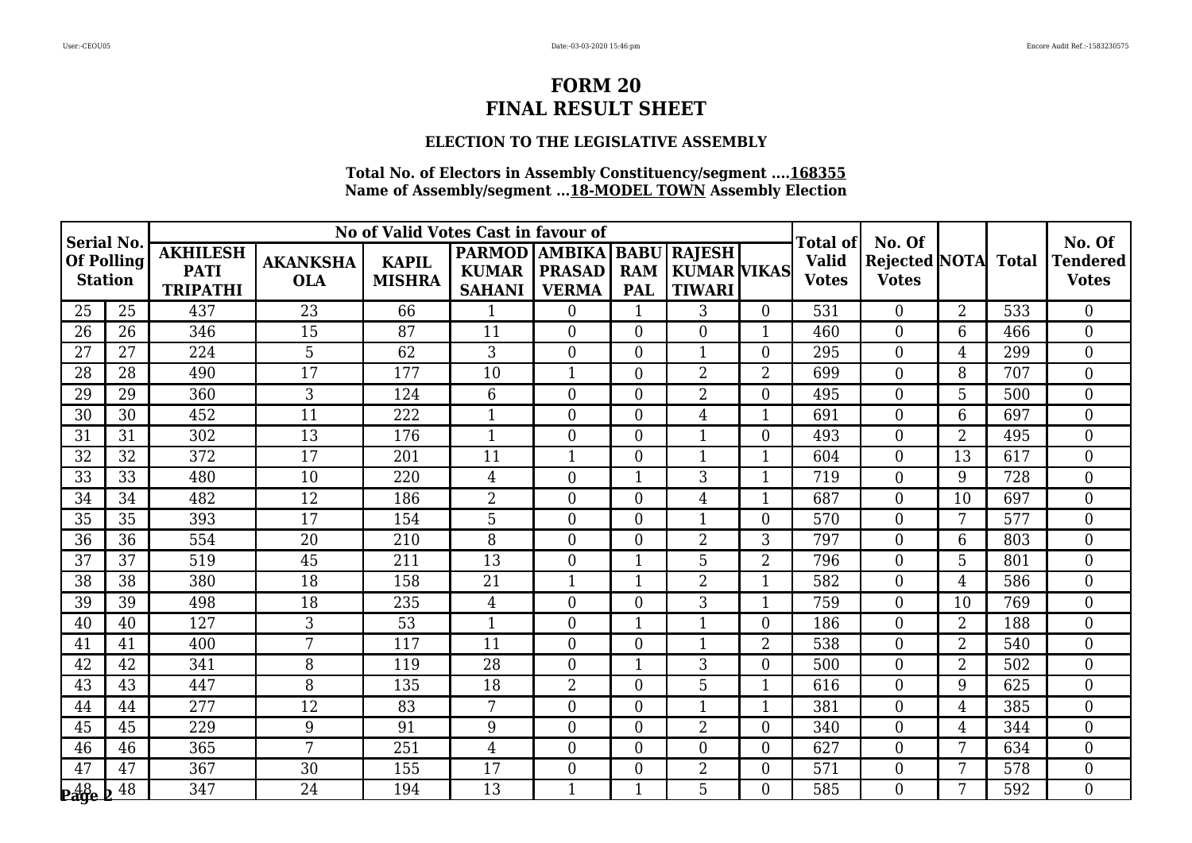# **ELECTION TO THE LEGISLATIVE ASSEMBLY**

| <b>Serial No.</b>            |    |                                                   |                               | No of Valid Votes Cast in favour of |                                                                |                               |                          |                                               |                | Total of                     | No. Of                               |                |              | No. Of                          |
|------------------------------|----|---------------------------------------------------|-------------------------------|-------------------------------------|----------------------------------------------------------------|-------------------------------|--------------------------|-----------------------------------------------|----------------|------------------------------|--------------------------------------|----------------|--------------|---------------------------------|
| Of Polling<br><b>Station</b> |    | <b>AKHILESH</b><br><b>PATI</b><br><b>TRIPATHI</b> | <b>AKANKSHA</b><br><b>OLA</b> | <b>KAPIL</b><br><b>MISHRA</b>       | <b>PARMOD   AMBIKA   BABU</b><br><b>KUMAR</b><br><b>SAHANI</b> | <b>PRASAD</b><br><b>VERMA</b> | <b>RAM</b><br><b>PAL</b> | <b>RAJESH</b><br>KUMAR VIKAS<br><b>TIWARI</b> |                | <b>Valid</b><br><b>Votes</b> | <b>Rejected NOTA</b><br><b>Votes</b> |                | <b>Total</b> | <b>Tendered</b><br><b>Votes</b> |
| 25                           | 25 | 437                                               | 23                            | 66                                  | 1                                                              | $\theta$                      | $\mathbf{1}$             | 3                                             | $\overline{0}$ | 531                          | $\Omega$                             | $\overline{2}$ | 533          | $\theta$                        |
| 26                           | 26 | 346                                               | 15                            | 87                                  | 11                                                             | $\theta$                      | $\boldsymbol{0}$         | $\overline{0}$                                | 1              | 460                          | $\overline{0}$                       | 6              | 466          | $\boldsymbol{0}$                |
| 27                           | 27 | 224                                               | 5                             | 62                                  | 3                                                              | $\overline{0}$                | $\boldsymbol{0}$         | $\mathbf{1}$                                  | $\overline{0}$ | 295                          | $\boldsymbol{0}$                     | 4              | 299          | $\boldsymbol{0}$                |
| 28                           | 28 | 490                                               | 17                            | 177                                 | 10                                                             | $\mathbf{1}$                  | $\overline{0}$           | $\overline{2}$                                | $\overline{2}$ | 699                          | $\boldsymbol{0}$                     | 8              | 707          | $\mathbf{0}$                    |
| 29                           | 29 | 360                                               | 3                             | 124                                 | 6                                                              | $\overline{0}$                | $\boldsymbol{0}$         | $\overline{2}$                                | $\overline{0}$ | 495                          | $\boldsymbol{0}$                     | 5              | 500          | $\boldsymbol{0}$                |
| 30                           | 30 | 452                                               | 11                            | 222                                 | $\mathbf{1}$                                                   | $\overline{0}$                | $\overline{0}$           | $\overline{4}$                                | $\mathbf{1}$   | 691                          | $\boldsymbol{0}$                     | 6              | 697          | $\mathbf{0}$                    |
| 31                           | 31 | 302                                               | 13                            | 176                                 | $\mathbf{1}$                                                   | $\theta$                      | $\overline{0}$           | $\mathbf{1}$                                  | $\overline{0}$ | 493                          | $\overline{0}$                       | $\overline{2}$ | 495          | $\overline{0}$                  |
| 32                           | 32 | 372                                               | 17                            | 201                                 | 11                                                             | 1                             | $\boldsymbol{0}$         | $\mathbf{1}$                                  | $\mathbf{1}$   | 604                          | $\boldsymbol{0}$                     | 13             | 617          | $\overline{0}$                  |
| 33                           | 33 | 480                                               | 10                            | 220                                 | 4                                                              | $\overline{0}$                | $\mathbf{1}$             | 3                                             | $\mathbf{1}$   | 719                          | $\boldsymbol{0}$                     | 9              | 728          | $\mathbf{0}$                    |
| 34                           | 34 | 482                                               | 12                            | 186                                 | $\overline{2}$                                                 | $\theta$                      | $\boldsymbol{0}$         | $\overline{4}$                                | $\mathbf{1}$   | 687                          | $\boldsymbol{0}$                     | 10             | 697          | $\mathbf{0}$                    |
| 35                           | 35 | 393                                               | 17                            | 154                                 | 5                                                              | $\overline{0}$                | $\boldsymbol{0}$         | $\mathbf{1}$                                  | $\overline{0}$ | 570                          | $\boldsymbol{0}$                     | 7              | 577          | $\boldsymbol{0}$                |
| 36                           | 36 | 554                                               | 20                            | 210                                 | 8                                                              | $\theta$                      | $\overline{0}$           | $\overline{2}$                                | 3              | 797                          | $\boldsymbol{0}$                     | 6              | 803          | $\mathbf{0}$                    |
| 37                           | 37 | 519                                               | 45                            | 211                                 | 13                                                             | $\theta$                      | $\mathbf{1}$             | 5                                             | $\overline{2}$ | 796                          | $\overline{0}$                       | 5              | 801          | $\boldsymbol{0}$                |
| 38                           | 38 | 380                                               | 18                            | 158                                 | 21                                                             | $\mathbf{1}$                  | $\mathbf{1}$             | $\overline{2}$                                | $\mathbf{1}$   | 582                          | $\boldsymbol{0}$                     | $\overline{4}$ | 586          | $\mathbf{0}$                    |
| 39                           | 39 | 498                                               | 18                            | 235                                 | 4                                                              | $\theta$                      | $\boldsymbol{0}$         | 3                                             | 1              | 759                          | $\boldsymbol{0}$                     | 10             | 769          | $\overline{0}$                  |
| 40                           | 40 | 127                                               | 3                             | 53                                  | $\mathbf{1}$                                                   | $\overline{0}$                | $\mathbf{1}$             | $\mathbf{1}$                                  | $\overline{0}$ | 186                          | $\boldsymbol{0}$                     | $\overline{2}$ | 188          | $\boldsymbol{0}$                |
| 41                           | 41 | 400                                               | 7                             | 117                                 | 11                                                             | $\overline{0}$                | $\boldsymbol{0}$         | $\mathbf{1}$                                  | $\overline{2}$ | 538                          | $\boldsymbol{0}$                     | $\overline{2}$ | 540          | $\mathbf{0}$                    |
| 42                           | 42 | 341                                               | 8                             | 119                                 | $\overline{28}$                                                | $\theta$                      | $\mathbf{1}$             | 3                                             | $\overline{0}$ | 500                          | $\overline{0}$                       | $\overline{2}$ | 502          | $\overline{0}$                  |
| 43                           | 43 | 447                                               | 8                             | 135                                 | 18                                                             | $\overline{2}$                | $\boldsymbol{0}$         | 5                                             | $\mathbf{1}$   | 616                          | $\boldsymbol{0}$                     | 9              | 625          | $\boldsymbol{0}$                |
| 44                           | 44 | 277                                               | 12                            | 83                                  | 7                                                              | $\theta$                      | $\boldsymbol{0}$         | $\mathbf{1}$                                  | 1              | 381                          | $\boldsymbol{0}$                     | $\overline{4}$ | 385          | $\boldsymbol{0}$                |
| 45                           | 45 | 229                                               | 9                             | 91                                  | 9                                                              | $\theta$                      | $\overline{0}$           | $\overline{2}$                                | $\overline{0}$ | 340                          | $\overline{0}$                       | $\overline{4}$ | 344          | $\overline{0}$                  |
| 46                           | 46 | 365                                               | 7                             | 251                                 | 4                                                              | $\overline{0}$                | $\boldsymbol{0}$         | $\overline{0}$                                | $\overline{0}$ | 627                          | $\boldsymbol{0}$                     | 7              | 634          | $\mathbf{0}$                    |
| 47                           | 47 | 367                                               | 30                            | 155                                 | 17                                                             | $\overline{0}$                | $\boldsymbol{0}$         | $\overline{2}$                                | $\overline{0}$ | 571                          | $\boldsymbol{0}$                     | 7              | 578          | $\mathbf{0}$                    |
| $\frac{48}{2}$ e b           | 48 | 347                                               | 24                            | 194                                 | 13                                                             | $\mathbf{1}$                  | $\mathbf{1}$             | 5                                             | $\Omega$       | 585                          | $\theta$                             | 7              | 592          | $\theta$                        |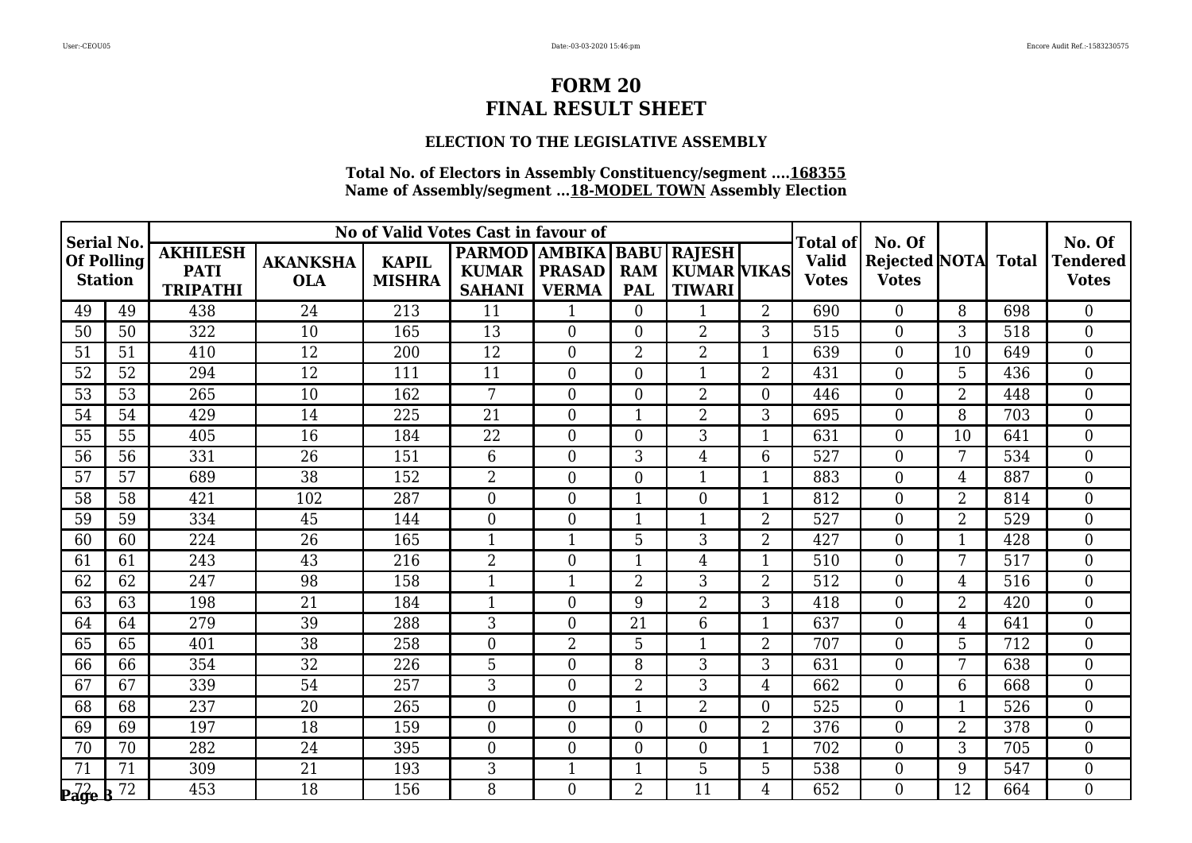# **ELECTION TO THE LEGISLATIVE ASSEMBLY**

| Serial No.                   |    |                                                   |                               | No of Valid Votes Cast in favour of |                                                    |                               |                                         |                                              |                | Total of                     | No. Of                                     |                |     | No. Of                          |
|------------------------------|----|---------------------------------------------------|-------------------------------|-------------------------------------|----------------------------------------------------|-------------------------------|-----------------------------------------|----------------------------------------------|----------------|------------------------------|--------------------------------------------|----------------|-----|---------------------------------|
| Of Polling<br><b>Station</b> |    | <b>AKHILESH</b><br><b>PATI</b><br><b>TRIPATHI</b> | <b>AKANKSHA</b><br><b>OLA</b> | <b>KAPIL</b><br><b>MISHRA</b>       | PARMOD   AMBIKA  <br><b>KUMAR</b><br><b>SAHANI</b> | <b>PRASAD</b><br><b>VERMA</b> | <b>BABU</b><br><b>RAM</b><br><b>PAL</b> | RAJESH<br>  KUMAR   VIKAS  <br><b>TIWARI</b> |                | <b>Valid</b><br><b>Votes</b> | <b>Rejected NOTA</b> Total<br><b>Votes</b> |                |     | <b>Tendered</b><br><b>Votes</b> |
| 49                           | 49 | 438                                               | 24                            | 213                                 | 11                                                 | 1                             | $\overline{0}$                          |                                              | $\overline{2}$ | 690                          | $\theta$                                   | 8              | 698 | $\theta$                        |
| 50                           | 50 | 322                                               | 10                            | 165                                 | 13                                                 | $\Omega$                      | $\overline{0}$                          | $\overline{2}$                               | 3              | 515                          | $\boldsymbol{0}$                           | 3              | 518 | $\overline{0}$                  |
| 51                           | 51 | 410                                               | 12                            | 200                                 | 12                                                 | $\overline{0}$                | $\overline{2}$                          | $\overline{2}$                               | 1              | 639                          | $\boldsymbol{0}$                           | 10             | 649 | $\overline{0}$                  |
| 52                           | 52 | 294                                               | 12                            | 111                                 | 11                                                 | $\theta$                      | $\overline{0}$                          | $\mathbf 1$                                  | $\overline{2}$ | 431                          | $\overline{0}$                             | 5              | 436 | $\theta$                        |
| 53                           | 53 | 265                                               | 10                            | 162                                 | 7                                                  | $\overline{0}$                | $\boldsymbol{0}$                        | $\overline{2}$                               | $\Omega$       | 446                          | $\boldsymbol{0}$                           | 2              | 448 | $\overline{0}$                  |
| 54                           | 54 | 429                                               | 14                            | 225                                 | 21                                                 | $\overline{0}$                | $\mathbf{1}$                            | $\overline{2}$                               | 3              | 695                          | $\mathbf{0}$                               | 8              | 703 | $\overline{0}$                  |
| 55                           | 55 | 405                                               | 16                            | 184                                 | 22                                                 | $\Omega$                      | $\overline{0}$                          | 3                                            | 1              | 631                          | $\overline{0}$                             | 10             | 641 | $\theta$                        |
| 56                           | 56 | 331                                               | 26                            | 151                                 | 6                                                  | $\theta$                      | 3                                       | $\overline{4}$                               | 6              | 527                          | $\boldsymbol{0}$                           | 7              | 534 | $\mathbf{0}$                    |
| 57                           | 57 | 689                                               | $\overline{38}$               | 152                                 | $\overline{2}$                                     | $\overline{0}$                | $\boldsymbol{0}$                        | 1                                            | 1              | 883                          | $\boldsymbol{0}$                           | 4              | 887 | $\overline{0}$                  |
| 58                           | 58 | 421                                               | 102                           | 287                                 | $\overline{0}$                                     | $\Omega$                      | $\mathbf{1}$                            | $\theta$                                     | 1              | 812                          | $\overline{0}$                             | 2              | 814 | $\theta$                        |
| 59                           | 59 | 334                                               | 45                            | 144                                 | $\overline{0}$                                     | $\overline{0}$                | $\mathbf{1}$                            |                                              | $\overline{2}$ | 527                          | $\boldsymbol{0}$                           | $\overline{2}$ | 529 | $\overline{0}$                  |
| 60                           | 60 | 224                                               | 26                            | 165                                 | $\mathbf{1}$                                       | $\mathbf{1}$                  | 5                                       | 3                                            | $\overline{2}$ | 427                          | $\boldsymbol{0}$                           | $\mathbf{1}$   | 428 | $\overline{0}$                  |
| 61                           | 61 | 243                                               | 43                            | 216                                 | $\overline{2}$                                     | $\theta$                      | $\mathbf{1}$                            | $\overline{4}$                               | $\mathbf{1}$   | 510                          | $\overline{0}$                             | 7              | 517 | $\overline{0}$                  |
| 62                           | 62 | 247                                               | 98                            | 158                                 | $\mathbf{1}$                                       | 1                             | $\overline{2}$                          | 3                                            | $\overline{2}$ | 512                          | $\boldsymbol{0}$                           | 4              | 516 | $\theta$                        |
| 63                           | 63 | 198                                               | 21                            | 184                                 | $\mathbf 1$                                        | $\theta$                      | 9                                       | $\overline{2}$                               | 3              | 418                          | $\boldsymbol{0}$                           | $\overline{2}$ | 420 | $\overline{0}$                  |
| 64                           | 64 | 279                                               | 39                            | 288                                 | 3                                                  | $\theta$                      | 21                                      | 6                                            | 1              | 637                          | $\boldsymbol{0}$                           | 4              | 641 | $\overline{0}$                  |
| 65                           | 65 | 401                                               | 38                            | 258                                 | $\overline{0}$                                     | $\overline{2}$                | 5                                       | $\mathbf{1}$                                 | $\overline{2}$ | 707                          | $\boldsymbol{0}$                           | 5              | 712 | $\overline{0}$                  |
| 66                           | 66 | 354                                               | $\overline{32}$               | 226                                 | $\overline{5}$                                     | $\theta$                      | 8                                       | $\overline{3}$                               | 3              | 631                          | $\overline{0}$                             | 7              | 638 | $\theta$                        |
| 67                           | 67 | 339                                               | 54                            | 257                                 | 3                                                  | $\theta$                      | $\overline{2}$                          | 3                                            | $\overline{4}$ | 662                          | $\overline{0}$                             | 6              | 668 | $\overline{0}$                  |
| 68                           | 68 | 237                                               | 20                            | 265                                 | $\overline{0}$                                     | $\theta$                      | $\mathbf 1$                             | $\overline{2}$                               | $\Omega$       | 525                          | $\boldsymbol{0}$                           | $\mathbf 1$    | 526 | $\mathbf{0}$                    |
| 69                           | 69 | 197                                               | 18                            | 159                                 | $\overline{0}$                                     | $\theta$                      | $\overline{0}$                          | $\Omega$                                     | $\overline{2}$ | 376                          | $\overline{0}$                             | $\overline{2}$ | 378 | $\theta$                        |
| 70                           | 70 | 282                                               | 24                            | 395                                 | $\overline{0}$                                     | $\theta$                      | $\boldsymbol{0}$                        | $\overline{0}$                               |                | 702                          | $\boldsymbol{0}$                           | 3              | 705 | $\overline{0}$                  |
| 71                           | 71 | 309                                               | $\overline{21}$               | 193                                 | 3                                                  | $\mathbf{1}$                  | $\mathbf{1}$                            | 5                                            | 5              | 538                          | $\boldsymbol{0}$                           | 9              | 547 | $\overline{0}$                  |
| $P_4$ $\frac{72}{9}$         | 72 | 453                                               | 18                            | 156                                 | 8                                                  | $\theta$                      | $\overline{2}$                          | 11                                           | 4              | 652                          | $\Omega$                                   | 12             | 664 | $\theta$                        |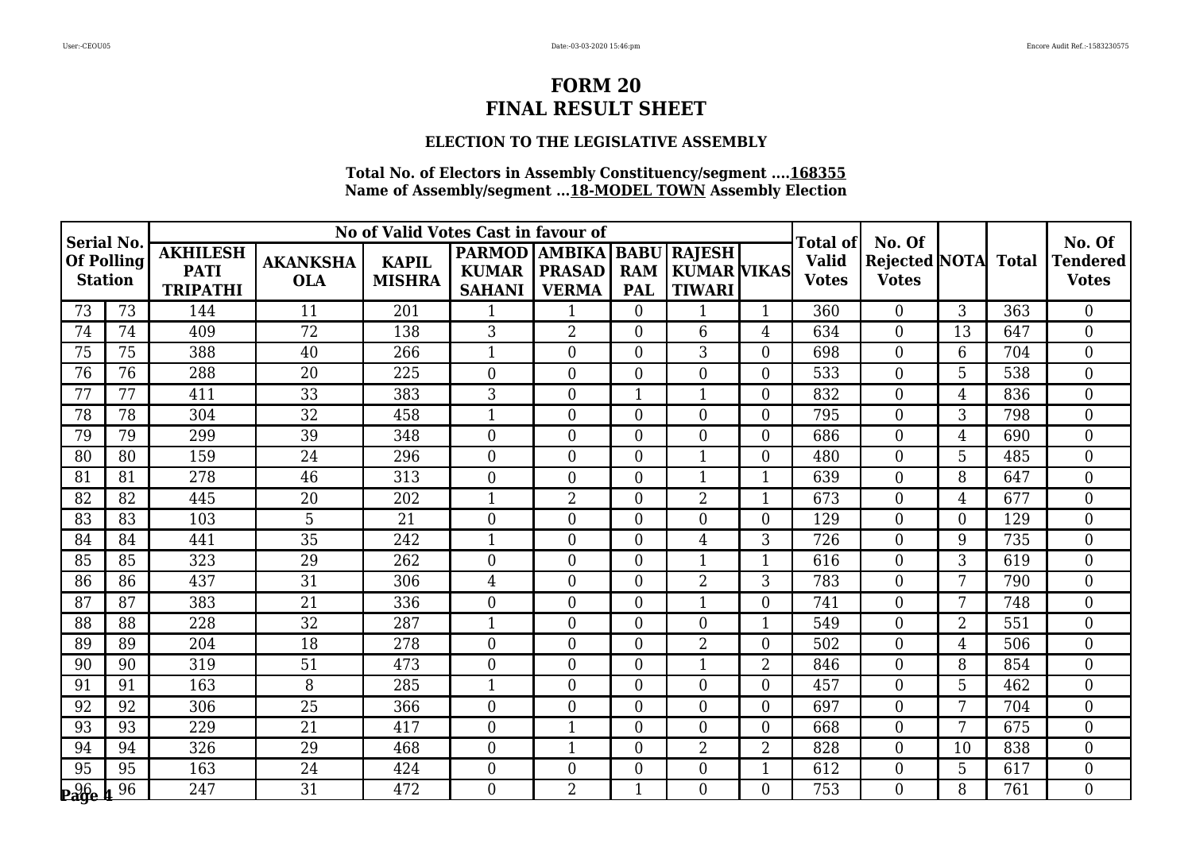# **ELECTION TO THE LEGISLATIVE ASSEMBLY**

| Serial No.                   |    |                                                   |                               | No of Valid Votes Cast in favour of |                                                                  |                               |                  |                                           |                | Total of                     | No. Of                                     |                |     | No. Of                          |
|------------------------------|----|---------------------------------------------------|-------------------------------|-------------------------------------|------------------------------------------------------------------|-------------------------------|------------------|-------------------------------------------|----------------|------------------------------|--------------------------------------------|----------------|-----|---------------------------------|
| Of Polling<br><b>Station</b> |    | <b>AKHILESH</b><br><b>PATI</b><br><b>TRIPATHI</b> | <b>AKANKSHA</b><br><b>OLA</b> | <b>KAPIL</b><br><b>MISHRA</b>       | PARMOD   AMBIKA   BABU   RAJESH<br><b>KUMAR</b><br><b>SAHANI</b> | <b>PRASAD</b><br><b>VERMA</b> | <b>PAL</b>       | <b>RAM   KUMAR VIKAS</b><br><b>TIWARI</b> |                | <b>Valid</b><br><b>Votes</b> | <b>Rejected NOTA</b> Total<br><b>Votes</b> |                |     | <b>Tendered</b><br><b>Votes</b> |
| 73                           | 73 | 144                                               | 11                            | 201                                 |                                                                  | 1                             | $\overline{0}$   | $\mathbf 1$                               | 1              | 360                          | $\overline{0}$                             | 3              | 363 | $\overline{0}$                  |
| 74                           | 74 | 409                                               | 72                            | 138                                 | 3                                                                | $\overline{2}$                | $\overline{0}$   | 6                                         | $\overline{4}$ | 634                          | $\overline{0}$                             | 13             | 647 | $\theta$                        |
| 75                           | 75 | 388                                               | 40                            | 266                                 | 1                                                                | $\overline{0}$                | $\overline{0}$   | 3                                         | $\Omega$       | 698                          | $\overline{0}$                             | 6              | 704 | $\overline{0}$                  |
| 76                           | 76 | 288                                               | $\overline{20}$               | 225                                 | $\overline{0}$                                                   | $\overline{0}$                | $\overline{0}$   | $\theta$                                  | $\Omega$       | 533                          | $\overline{0}$                             | 5              | 538 | $\overline{0}$                  |
| 77                           | 77 | 411                                               | 33                            | 383                                 | 3                                                                | $\theta$                      | $\mathbf 1$      | -1                                        | $\Omega$       | 832                          | $\overline{0}$                             | 4              | 836 | $\overline{0}$                  |
| 78                           | 78 | 304                                               | 32                            | 458                                 | $\mathbf{1}$                                                     | $\overline{0}$                | $\boldsymbol{0}$ | $\overline{0}$                            | $\Omega$       | 795                          | $\boldsymbol{0}$                           | 3              | 798 | $\mathbf{0}$                    |
| 79                           | 79 | 299                                               | 39                            | 348                                 | $\overline{0}$                                                   | $\overline{0}$                | $\overline{0}$   | $\theta$                                  | $\Omega$       | 686                          | $\boldsymbol{0}$                           | 4              | 690 | $\overline{0}$                  |
| 80                           | 80 | 159                                               | 24                            | 296                                 | $\overline{0}$                                                   | $\overline{0}$                | $\overline{0}$   |                                           | $\Omega$       | 480                          | $\overline{0}$                             | 5 <sup>2</sup> | 485 | $\overline{0}$                  |
| 81                           | 81 | 278                                               | 46                            | 313                                 | $\overline{0}$                                                   | $\overline{0}$                | $\overline{0}$   | -1                                        | 1              | 639                          | $\mathbf{0}$                               | 8              | 647 | $\overline{0}$                  |
| 82                           | 82 | 445                                               | 20                            | 202                                 | $\mathbf{1}$                                                     | $\overline{2}$                | $\overline{0}$   | $\overline{2}$                            | 1              | 673                          | $\overline{0}$                             | 4              | 677 | $\theta$                        |
| 83                           | 83 | 103                                               | 5                             | 21                                  | $\overline{0}$                                                   | $\theta$                      | $\overline{0}$   | $\theta$                                  | $\Omega$       | 129                          | $\overline{0}$                             | $\Omega$       | 129 | $\overline{0}$                  |
| 84                           | 84 | 441                                               | 35                            | 242                                 | 1                                                                | $\theta$                      | $\overline{0}$   | 4                                         | 3              | 726                          | $\boldsymbol{0}$                           | 9              | 735 | $\overline{0}$                  |
| 85                           | 85 | 323                                               | 29                            | 262                                 | $\overline{0}$                                                   | $\theta$                      | $\overline{0}$   | $\mathbf 1$                               | 1              | 616                          | $\overline{0}$                             | 3              | 619 | $\overline{0}$                  |
| 86                           | 86 | 437                                               | 31                            | 306                                 | $\overline{4}$                                                   | $\theta$                      | $\overline{0}$   | $\overline{2}$                            | 3              | 783                          | $\boldsymbol{0}$                           | 7              | 790 | $\overline{0}$                  |
| 87                           | 87 | 383                                               | 21                            | 336                                 | $\overline{0}$                                                   | $\overline{0}$                | $\overline{0}$   | -1                                        | $\theta$       | 741                          | $\overline{0}$                             | 7              | 748 | $\overline{0}$                  |
| 88                           | 88 | 228                                               | 32                            | 287                                 | $\mathbf{1}$                                                     | $\Omega$                      | $\overline{0}$   | $\Omega$                                  | 1              | 549                          | $\overline{0}$                             | $\overline{2}$ | 551 | $\overline{0}$                  |
| 89                           | 89 | 204                                               | 18                            | 278                                 | $\overline{0}$                                                   | $\theta$                      | $\overline{0}$   | $\overline{2}$                            | $\Omega$       | 502                          | $\overline{0}$                             | 4              | 506 | $\theta$                        |
| 90                           | 90 | 319                                               | 51                            | 473                                 | $\overline{0}$                                                   | $\theta$                      | $\overline{0}$   | $\mathbf{1}$                              | $\overline{2}$ | 846                          | $\theta$                                   | 8              | 854 | $\theta$                        |
| 91                           | 91 | 163                                               | 8                             | 285                                 | $\mathbf{1}$                                                     | $\theta$                      | $\boldsymbol{0}$ | $\Omega$                                  | $\Omega$       | 457                          | $\overline{0}$                             | 5              | 462 | $\overline{0}$                  |
| 92                           | 92 | 306                                               | 25                            | 366                                 | $\boldsymbol{0}$                                                 | $\theta$                      | $\overline{0}$   | $\overline{0}$                            | $\Omega$       | 697                          | $\boldsymbol{0}$                           | 7              | 704 | $\overline{0}$                  |
| 93                           | 93 | 229                                               | 21                            | 417                                 | $\overline{0}$                                                   | $\mathbf{1}$                  | $\overline{0}$   | $\theta$                                  | $\overline{0}$ | 668                          | $\overline{0}$                             | 7              | 675 | $\overline{0}$                  |
| 94                           | 94 | 326                                               | 29                            | 468                                 | $\overline{0}$                                                   | $\overline{\phantom{a}}$      | $\boldsymbol{0}$ | $\overline{2}$                            | $\overline{2}$ | 828                          | $\boldsymbol{0}$                           | 10             | 838 | $\overline{0}$                  |
| 95                           | 95 | 163                                               | 24                            | 424                                 | $\overline{0}$                                                   | $\theta$                      | $\boldsymbol{0}$ | $\overline{0}$                            | 1              | 612                          | $\boldsymbol{0}$                           | 5              | 617 | $\overline{0}$                  |
| $\frac{96}{296}$             | 96 | 247                                               | 31                            | 472                                 | $\Omega$                                                         | $\overline{2}$                | $\mathbf{1}$     | $\Omega$                                  | $\Omega$       | 753                          | $\Omega$                                   | 8              | 761 | $\theta$                        |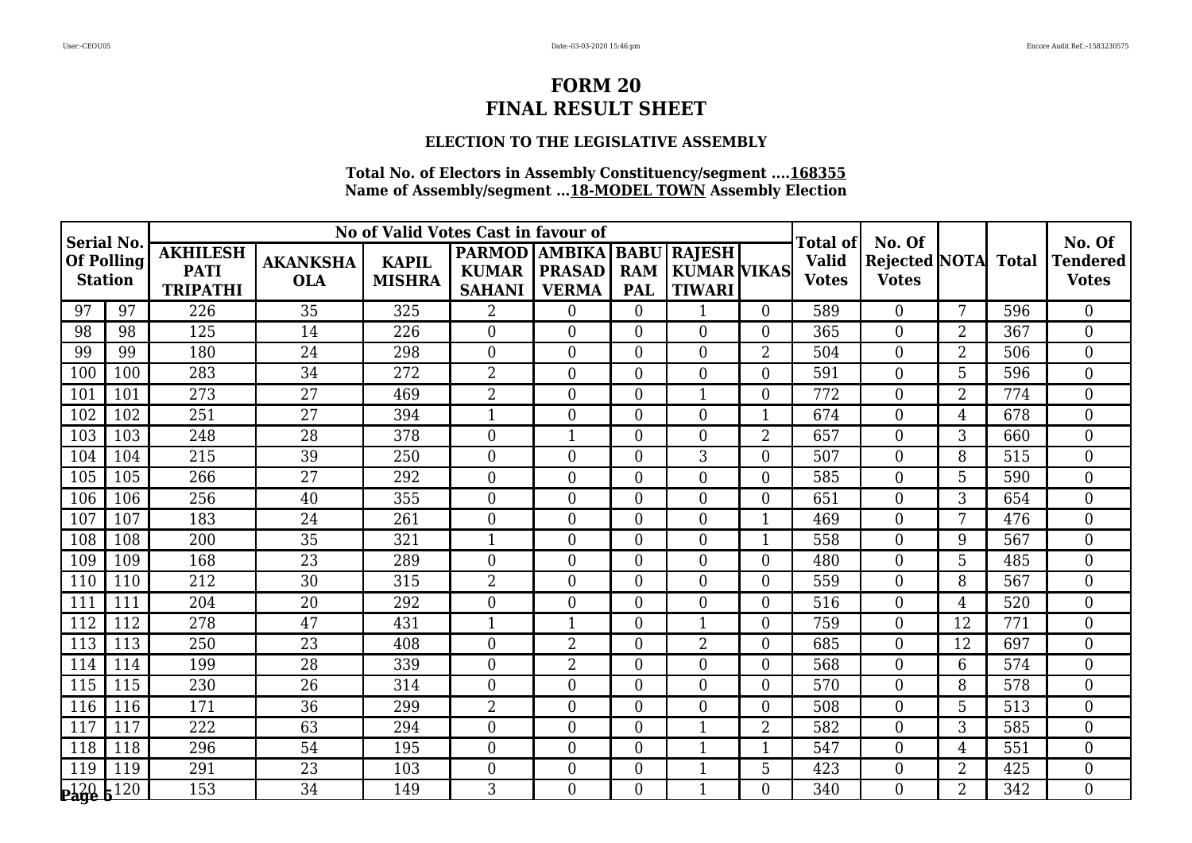# **ELECTION TO THE LEGISLATIVE ASSEMBLY**

| <b>Serial No.</b>            |     |                                                   |                               | No of Valid Votes Cast in favour of |                                                            |                               |                          |                                                    |                  | Total of                     | No. Of                               |                |              | No. Of                          |
|------------------------------|-----|---------------------------------------------------|-------------------------------|-------------------------------------|------------------------------------------------------------|-------------------------------|--------------------------|----------------------------------------------------|------------------|------------------------------|--------------------------------------|----------------|--------------|---------------------------------|
| Of Polling<br><b>Station</b> |     | <b>AKHILESH</b><br><b>PATI</b><br><b>TRIPATHI</b> | <b>AKANKSHA</b><br><b>OLA</b> | <b>KAPIL</b><br><b>MISHRA</b>       | <b>PARMOD AMBIKA BABU</b><br><b>KUMAR</b><br><b>SAHANI</b> | <b>PRASAD</b><br><b>VERMA</b> | <b>RAM</b><br><b>PAL</b> | <b>RAJESH</b><br>  KUMAR   VIKAS <br><b>TIWARI</b> |                  | <b>Valid</b><br><b>Votes</b> | <b>Rejected NOTA</b><br><b>Votes</b> |                | <b>Total</b> | <b>Tendered</b><br><b>Votes</b> |
| 97                           | 97  | 226                                               | 35                            | 325                                 | $\overline{2}$                                             | $\theta$                      | $\overline{0}$           | 1                                                  | $\Omega$         | 589                          | $\Omega$                             | $\overline{7}$ | 596          | $\Omega$                        |
| 98                           | 98  | 125                                               | 14                            | 226                                 | $\overline{0}$                                             | $\overline{0}$                | $\boldsymbol{0}$         | $\overline{0}$                                     | $\overline{0}$   | 365                          | $\mathbf{0}$                         | 2              | 367          | $\overline{0}$                  |
| 99                           | 99  | 180                                               | 24                            | 298                                 | $\overline{0}$                                             | $\mathbf{0}$                  | $\boldsymbol{0}$         | $\overline{0}$                                     | $\overline{2}$   | 504                          | $\boldsymbol{0}$                     | $\overline{2}$ | 506          | $\boldsymbol{0}$                |
| 100                          | 100 | 283                                               | 34                            | 272                                 | $\overline{2}$                                             | $\overline{0}$                | $\overline{0}$           | $\overline{0}$                                     | $\overline{0}$   | 591                          | $\mathbf{0}$                         | 5              | 596          | $\boldsymbol{0}$                |
| 101                          | 101 | 273                                               | $\overline{27}$               | 469                                 | $\overline{2}$                                             | $\overline{0}$                | $\overline{0}$           | 1                                                  | $\overline{0}$   | 772                          | $\mathbf{0}$                         | $\overline{2}$ | 774          | $\overline{0}$                  |
| 102                          | 102 | 251                                               | 27                            | 394                                 | 1                                                          | $\overline{0}$                | $\overline{0}$           | $\overline{0}$                                     |                  | 674                          | $\overline{0}$                       | 4              | 678          | $\mathbf{0}$                    |
| 103                          | 103 | 248                                               | 28                            | 378                                 | $\overline{0}$                                             | $\mathbf{1}$                  | $\overline{0}$           | $\Omega$                                           | $\overline{2}$   | 657                          | $\mathbf{0}$                         | 3              | 660          | $\overline{0}$                  |
| 104                          | 104 | 215                                               | 39                            | 250                                 | $\overline{0}$                                             | $\overline{0}$                | $\boldsymbol{0}$         | 3                                                  | $\overline{0}$   | 507                          | $\theta$                             | 8              | 515          | $\boldsymbol{0}$                |
| 105                          | 105 | 266                                               | 27                            | 292                                 | $\overline{0}$                                             | $\mathbf{0}$                  | $\overline{0}$           | $\overline{0}$                                     | $\boldsymbol{0}$ | 585                          | $\mathbf{0}$                         | 5              | 590          | $\boldsymbol{0}$                |
| 106                          | 106 | 256                                               | 40                            | 355                                 | $\overline{0}$                                             | $\theta$                      | $\overline{0}$           | $\Omega$                                           | $\overline{0}$   | 651                          | $\theta$                             | 3              | 654          | $\overline{0}$                  |
| 107                          | 107 | 183                                               | 24                            | 261                                 | $\overline{0}$                                             | $\theta$                      | $\overline{0}$           | $\overline{0}$                                     |                  | 469                          | $\overline{0}$                       | 7              | 476          | $\overline{0}$                  |
| 108                          | 108 | 200                                               | 35                            | 321                                 | 1                                                          | $\overline{0}$                | $\boldsymbol{0}$         | $\overline{0}$                                     |                  | 558                          | $\mathbf{0}$                         | 9              | 567          | $\boldsymbol{0}$                |
| 109                          | 109 | 168                                               | 23                            | 289                                 | $\overline{0}$                                             | $\overline{0}$                | $\overline{0}$           | $\overline{0}$                                     | $\overline{0}$   | 480                          | $\overline{0}$                       | 5              | 485          | $\boldsymbol{0}$                |
| 110                          | 110 | 212                                               | 30                            | 315                                 | $\overline{2}$                                             | $\overline{0}$                | $\overline{0}$           | $\overline{0}$                                     | $\overline{0}$   | 559                          | $\overline{0}$                       | 8              | 567          | $\overline{0}$                  |
| 111                          | 111 | 204                                               | 20                            | 292                                 | $\overline{0}$                                             | $\theta$                      | $\overline{0}$           | $\Omega$                                           | $\overline{0}$   | 516                          | $\overline{0}$                       | 4              | 520          | $\overline{0}$                  |
| 112                          | 112 | 278                                               | 47                            | 431                                 | $\mathbf{1}$                                               | $\mathbf{1}$                  | $\overline{0}$           | 1                                                  | $\overline{0}$   | 759                          | $\mathbf{0}$                         | 12             | 771          | $\boldsymbol{0}$                |
| 113                          | 113 | 250                                               | 23                            | 408                                 | 0                                                          | $\overline{2}$                | $\boldsymbol{0}$         | $\overline{2}$                                     | $\Omega$         | 685                          | $\overline{0}$                       | 12             | 697          | $\overline{0}$                  |
| 114                          | 114 | 199                                               | 28                            | 339                                 | $\overline{0}$                                             | $\overline{2}$                | $\overline{0}$           | $\Omega$                                           | $\overline{0}$   | 568                          | $\overline{0}$                       | 6              | 574          | $\overline{0}$                  |
| 115                          | 115 | 230                                               | 26                            | 314                                 | $\overline{0}$                                             | $\theta$                      | $\overline{0}$           | $\Omega$                                           | $\overline{0}$   | 570                          | $\overline{0}$                       | 8              | 578          | $\overline{0}$                  |
| 116                          | 116 | 171                                               | 36                            | 299                                 | $\overline{2}$                                             | $\overline{0}$                | $\boldsymbol{0}$         | $\overline{0}$                                     | $\Omega$         | 508                          | $\mathbf{0}$                         | 5              | 513          | $\boldsymbol{0}$                |
| 117                          | 117 | 222                                               | 63                            | 294                                 | $\overline{0}$                                             | $\theta$                      | $\overline{0}$           | $\mathbf{1}$                                       | $\overline{2}$   | 582                          | $\theta$                             | 3              | 585          | $\overline{0}$                  |
| 118                          | 118 | 296                                               | 54                            | 195                                 | $\overline{0}$                                             | $\overline{0}$                | $\boldsymbol{0}$         | 1                                                  |                  | 547                          | $\boldsymbol{0}$                     | 4              | 551          | $\boldsymbol{0}$                |
| 119                          | 119 | 291                                               | 23                            | 103                                 | $\overline{0}$                                             | $\boldsymbol{0}$              | $\boldsymbol{0}$         | $\mathbf{1}$                                       | 5                | 423                          | $\boldsymbol{0}$                     | $\overline{2}$ | 425          | $\boldsymbol{0}$                |
| 20 5120                      |     | 153                                               | 34                            | 149                                 | 3                                                          | $\Omega$                      | $\Omega$                 | $\mathbf{1}$                                       | $\Omega$         | 340                          | $\Omega$                             | $\overline{2}$ | 342          | $\theta$                        |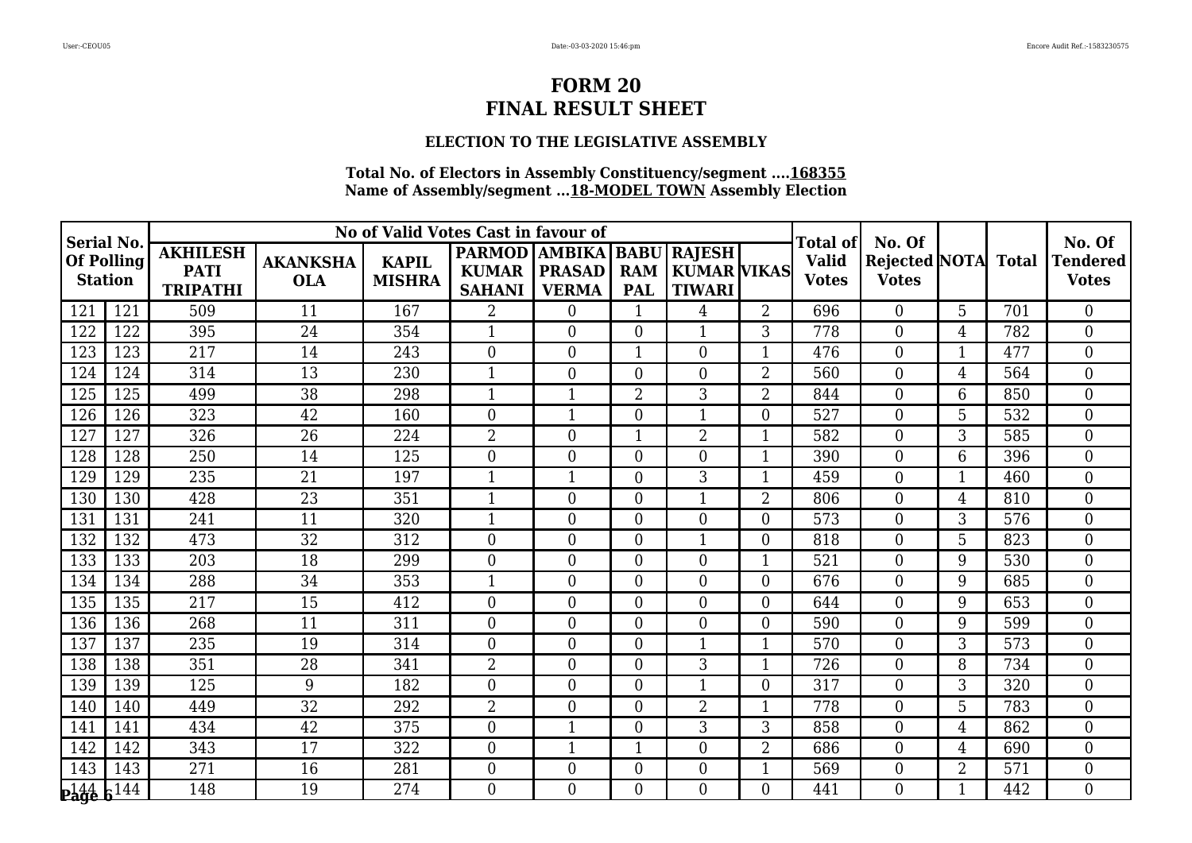# **ELECTION TO THE LEGISLATIVE ASSEMBLY**

| <b>Serial No.</b>                           |          |                                                   |                               | No of Valid Votes Cast in favour of |                                                |                                                     |                          |                                                    |                | Total of                     | No. Of                               |                |              | No. Of                          |
|---------------------------------------------|----------|---------------------------------------------------|-------------------------------|-------------------------------------|------------------------------------------------|-----------------------------------------------------|--------------------------|----------------------------------------------------|----------------|------------------------------|--------------------------------------|----------------|--------------|---------------------------------|
| Of Polling<br><b>Station</b>                |          | <b>AKHILESH</b><br><b>PATI</b><br><b>TRIPATHI</b> | <b>AKANKSHA</b><br><b>OLA</b> | <b>KAPIL</b><br><b>MISHRA</b>       | <b>PARMOD</b><br><b>KUMAR</b><br><b>SAHANI</b> | <b>AMBIKA BABU</b><br><b>PRASAD</b><br><b>VERMA</b> | <b>RAM</b><br><b>PAL</b> | <b>RAJESH</b><br>  KUMAR   VIKAS <br><b>TIWARI</b> |                | <b>Valid</b><br><b>Votes</b> | <b>Rejected NOTA</b><br><b>Votes</b> |                | <b>Total</b> | <b>Tendered</b><br><b>Votes</b> |
| 121                                         | 121      | 509                                               | 11                            | 167                                 | $\overline{2}$                                 | $\theta$                                            | $\mathbf{1}$             | 4                                                  | $\overline{2}$ | 696                          | $\Omega$                             | 5              | 701          | $\Omega$                        |
| 122                                         | 122      | 395                                               | 24                            | 354                                 | $\mathbf{1}$                                   | $\theta$                                            | $\overline{0}$           | -1                                                 | 3              | 778                          | $\overline{0}$                       | $\overline{4}$ | 782          | $\boldsymbol{0}$                |
| 123                                         | 123      | 217                                               | 14                            | 243                                 | $\overline{0}$                                 | $\overline{0}$                                      | $\mathbf 1$              | $\Omega$                                           | $\mathbf 1$    | 476                          | $\boldsymbol{0}$                     | 1              | 477          | $\overline{0}$                  |
| 124                                         | 124      | 314                                               | 13                            | 230                                 | $\mathbf{1}$                                   | $\theta$                                            | $\overline{0}$           | $\Omega$                                           | $\overline{2}$ | 560                          | $\overline{0}$                       | $\overline{4}$ | 564          | $\overline{0}$                  |
| 125                                         | 125      | 499                                               | 38                            | 298                                 | 1                                              | $\mathbf{1}$                                        | $\overline{2}$           | 3                                                  | 2              | 844                          | $\mathbf{0}$                         | 6              | 850          | $\boldsymbol{0}$                |
| 126                                         | 126      | 323                                               | 42                            | 160                                 | $\overline{0}$                                 | $\mathbf{1}$                                        | $\overline{0}$           | $\mathbf{1}$                                       | $\overline{0}$ | 527                          | $\overline{0}$                       | 5              | 532          | $\boldsymbol{0}$                |
| 127                                         | 127      | 326                                               | 26                            | 224                                 | $\overline{2}$                                 | $\theta$                                            | $\mathbf{1}$             | $\overline{2}$                                     | 1              | 582                          | $\theta$                             | 3              | 585          | $\overline{0}$                  |
| 128                                         | 128      | 250                                               | 14                            | 125                                 | $\overline{0}$                                 | $\overline{0}$                                      | $\boldsymbol{0}$         | $\Omega$                                           | $\mathbf 1$    | 390                          | $\overline{0}$                       | 6              | 396          | $\overline{0}$                  |
| 129                                         | 129      | 235                                               | $\overline{21}$               | 197                                 | 1                                              | 1                                                   | $\boldsymbol{0}$         | 3                                                  |                | 459                          | $\mathbf{0}$                         | 1              | 460          | $\boldsymbol{0}$                |
| 130                                         | 130      | 428                                               | 23                            | 351                                 | $\mathbf{1}$                                   | $\theta$                                            | $\overline{0}$           | -1                                                 | $\overline{2}$ | 806                          | $\theta$                             | 4              | 810          | $\overline{0}$                  |
| 131                                         | 131      | 241                                               | 11                            | 320                                 | $\mathbf{1}$                                   | $\overline{0}$                                      | $\boldsymbol{0}$         | $\overline{0}$                                     | $\overline{0}$ | 573                          | $\overline{0}$                       | 3              | 576          | $\boldsymbol{0}$                |
| 132                                         | 132      | 473                                               | 32                            | 312                                 | $\overline{0}$                                 | $\overline{0}$                                      | $\boldsymbol{0}$         | $\mathbf{1}$                                       | $\overline{0}$ | 818                          | $\overline{0}$                       | 5              | 823          | $\boldsymbol{0}$                |
| 133                                         | 133      | 203                                               | 18                            | 299                                 | $\overline{0}$                                 | $\theta$                                            | $\overline{0}$           | $\overline{0}$                                     | 1              | 521                          | $\Omega$                             | 9              | 530          | $\boldsymbol{0}$                |
| 134                                         | 134      | 288                                               | 34                            | 353                                 | 1                                              | $\overline{0}$                                      | $\overline{0}$           | $\overline{0}$                                     | $\overline{0}$ | 676                          | $\overline{0}$                       | 9              | 685          | $\boldsymbol{0}$                |
| 135                                         | 135      | 217                                               | 15                            | 412                                 | $\overline{0}$                                 | $\overline{0}$                                      | $\boldsymbol{0}$         | $\Omega$                                           | $\overline{0}$ | 644                          | $\mathbf{0}$                         | 9              | 653          | $\boldsymbol{0}$                |
| 136                                         | 136      | 268                                               | 11                            | 311                                 | $\overline{0}$                                 | $\overline{0}$                                      | $\overline{0}$           | $\overline{0}$                                     | $\overline{0}$ | 590                          | $\overline{0}$                       | 9              | 599          | $\boldsymbol{0}$                |
| 137                                         | 137      | 235                                               | 19                            | 314                                 | $\overline{0}$                                 | $\overline{0}$                                      | $\boldsymbol{0}$         | $\mathbf{1}$                                       | $\mathbf 1$    | 570                          | $\boldsymbol{0}$                     | 3              | 573          | $\boldsymbol{0}$                |
| 138                                         | 138      | 351                                               | 28                            | 341                                 | $\overline{2}$                                 | $\theta$                                            | $\overline{0}$           | 3                                                  | $\mathbf 1$    | 726                          | $\theta$                             | 8              | 734          | $\overline{0}$                  |
| 139                                         | 139      | 125                                               | 9                             | 182                                 | $\overline{0}$                                 | $\theta$                                            | $\overline{0}$           | 1                                                  | $\overline{0}$ | 317                          | $\overline{0}$                       | 3              | 320          | $\boldsymbol{0}$                |
| 140                                         | 140      | 449                                               | 32                            | 292                                 | $\overline{2}$                                 | $\overline{0}$                                      | $\boldsymbol{0}$         | $\overline{2}$                                     |                | 778                          | $\mathbf{0}$                         | 5              | 783          | $\boldsymbol{0}$                |
| 141                                         | 141      | 434                                               | 42                            | 375                                 | $\overline{0}$                                 | $\mathbf{1}$                                        | $\overline{0}$           | 3                                                  | 3              | 858                          | $\overline{0}$                       | 4              | 862          | $\overline{0}$                  |
| 142                                         | 142      | 343                                               | 17                            | 322                                 | $\overline{0}$                                 | $\mathbf{1}$                                        | $\mathbf{1}$             | $\overline{0}$                                     | $\overline{2}$ | 686                          | $\mathbf{0}$                         | 4              | 690          | $\boldsymbol{0}$                |
| 143                                         | 143      | 271                                               | 16                            | 281                                 | $\overline{0}$                                 | $\overline{0}$                                      | $\overline{0}$           | $\overline{0}$                                     | 1              | 569                          | $\overline{0}$                       | $\overline{2}$ | 571          | $\boldsymbol{0}$                |
| $\mathbf{p}_\mathbf{a}\mathbf{g}\mathbf{e}$ | $6^{14}$ | 148                                               | 19                            | 274                                 | 0                                              | $\Omega$                                            | $\Omega$                 | $\Omega$                                           | $\Omega$       | 441                          | $\Omega$                             | 1              | 442          | $\Omega$                        |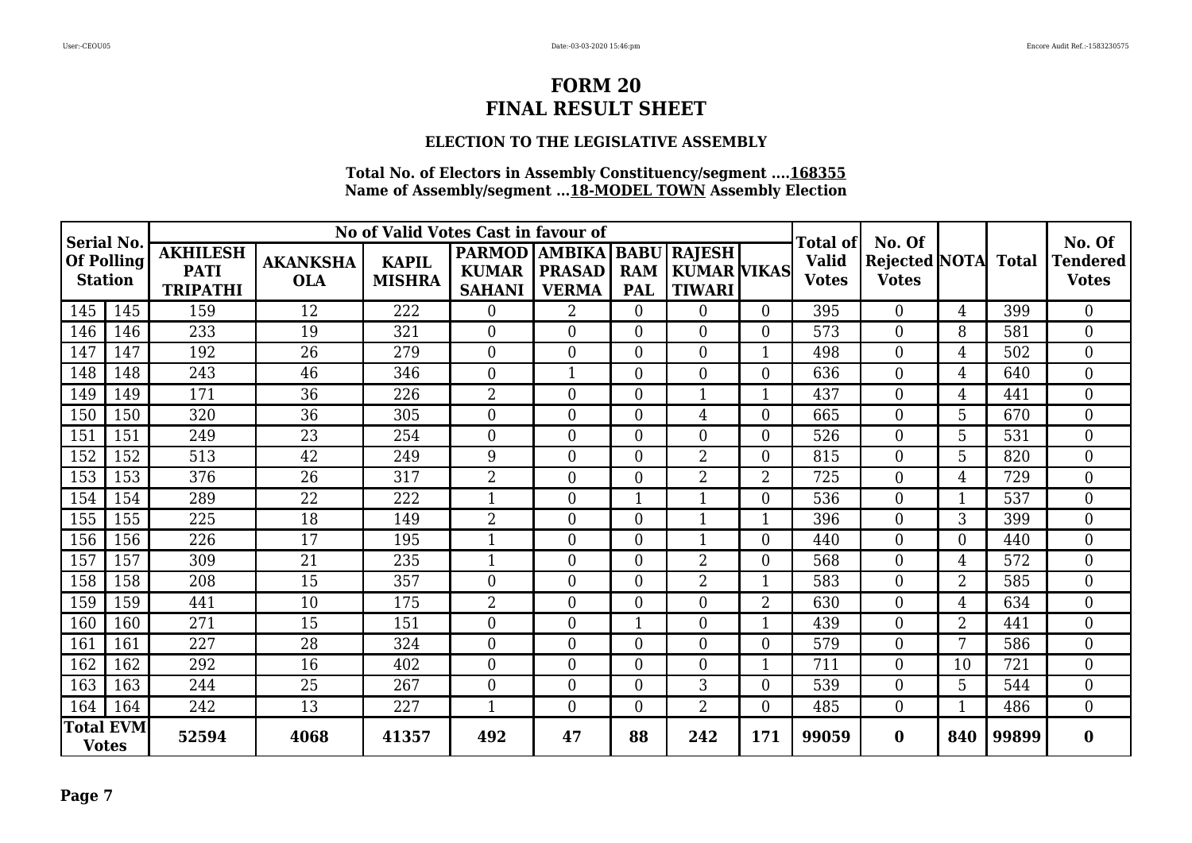# **ELECTION TO THE LEGISLATIVE ASSEMBLY**

| <b>Serial No.</b>                   |     |                                                   |                               | No of Valid Votes Cast in favour of |                                                |                               |                                         |                                                      |                | <b>Total of</b>              | No. Of                                     |                |       | No. Of<br><b>Tendered</b><br><b>Votes</b> |
|-------------------------------------|-----|---------------------------------------------------|-------------------------------|-------------------------------------|------------------------------------------------|-------------------------------|-----------------------------------------|------------------------------------------------------|----------------|------------------------------|--------------------------------------------|----------------|-------|-------------------------------------------|
| <b>Of Polling</b><br><b>Station</b> |     | <b>AKHILESH</b><br><b>PATI</b><br><b>TRIPATHI</b> | <b>AKANKSHA</b><br><b>OLA</b> | <b>KAPIL</b><br><b>MISHRA</b>       | PARMOD AMBIKA<br><b>KUMAR</b><br><b>SAHANI</b> | <b>PRASAD</b><br><b>VERMA</b> | <b>BABU</b><br><b>RAM</b><br><b>PAL</b> | <b>RAJESH</b><br><b>KUMAR VIKAS</b><br><b>TIWARI</b> |                | <b>Valid</b><br><b>Votes</b> | <b>Rejected NOTA</b> Total<br><b>Votes</b> |                |       |                                           |
| 145                                 | 145 | 159                                               | 12                            | 222                                 | $\theta$                                       | $\overline{2}$                | $\overline{0}$                          | $\theta$                                             | $\Omega$       | 395                          | $\overline{0}$                             | 4              | 399   | $\overline{0}$                            |
| 146                                 | 146 | 233                                               | 19                            | 321                                 | $\theta$                                       | $\theta$                      | $\overline{0}$                          | $\Omega$                                             | $\Omega$       | 573                          | $\overline{0}$                             | 8              | 581   | $\overline{0}$                            |
| 147                                 | 147 | 192                                               | 26                            | 279                                 | $\overline{0}$                                 | $\theta$                      | $\overline{0}$                          | $\Omega$                                             | 1              | 498                          | $\overline{0}$                             | 4              | 502   | $\overline{0}$                            |
| 148                                 | 148 | 243                                               | 46                            | 346                                 | $\theta$                                       | $\mathbf 1$                   | $\overline{0}$                          | $\theta$                                             | 0              | 636                          | $\overline{0}$                             | 4              | 640   | $\overline{0}$                            |
| 149                                 | 149 | 171                                               | 36                            | 226                                 | $\overline{2}$                                 | $\overline{0}$                | $\overline{0}$                          |                                                      |                | 437                          | $\boldsymbol{0}$                           | 4              | 441   | $\boldsymbol{0}$                          |
| 150                                 | 150 | 320                                               | 36                            | 305                                 | $\overline{0}$                                 | $\theta$                      | $\overline{0}$                          | 4                                                    | 0              | 665                          | $\boldsymbol{0}$                           | 5              | 670   | $\boldsymbol{0}$                          |
| 151                                 | 151 | 249                                               | 23                            | 254                                 | $\theta$                                       | $\overline{0}$                | $\overline{0}$                          | $\theta$                                             | $\Omega$       | 526                          | $\boldsymbol{0}$                           | 5              | 531   | $\boldsymbol{0}$                          |
| 152                                 | 152 | 513                                               | 42                            | 249                                 | 9                                              | $\theta$                      | $\mathbf{0}$                            | $\overline{2}$                                       | $\Omega$       | 815                          | $\boldsymbol{0}$                           | 5              | 820   | $\overline{0}$                            |
| 153                                 | 153 | 376                                               | 26                            | 317                                 | $\overline{2}$                                 | $\overline{0}$                | $\mathbf{0}$                            | $\overline{2}$                                       | $\overline{2}$ | 725                          | $\boldsymbol{0}$                           | 4              | 729   | $\mathbf{0}$                              |
| 154                                 | 154 | 289                                               | 22                            | 222                                 | $\mathbf{1}$                                   | $\overline{0}$                | $\mathbf{1}$                            | 1                                                    | $\Omega$       | 536                          | $\boldsymbol{0}$                           | 1              | 537   | $\mathbf{0}$                              |
| 155                                 | 155 | 225                                               | 18                            | 149                                 | $\overline{2}$                                 | $\overline{0}$                | $\overline{0}$                          | 1                                                    |                | 396                          | $\overline{0}$                             | 3              | 399   | $\boldsymbol{0}$                          |
| 156                                 | 156 | 226                                               | 17                            | 195                                 | $\mathbf{1}$                                   | $\theta$                      | $\overline{0}$                          | $\mathbf 1$                                          | 0              | 440                          | $\overline{0}$                             | 0              | 440   | $\overline{0}$                            |
| 157                                 | 157 | 309                                               | 21                            | 235                                 | 1                                              | $\theta$                      | $\overline{0}$                          | $\overline{2}$                                       | 0              | 568                          | $\overline{0}$                             | 4              | 572   | $\overline{0}$                            |
| 158                                 | 158 | 208                                               | 15                            | 357                                 | $\overline{0}$                                 | $\overline{0}$                | $\overline{0}$                          | 2                                                    |                | 583                          | $\boldsymbol{0}$                           | $\overline{2}$ | 585   | $\boldsymbol{0}$                          |
| 159                                 | 159 | 441                                               | 10                            | 175                                 | $\overline{2}$                                 | $\theta$                      | $\overline{0}$                          | $\overline{0}$                                       | $\overline{2}$ | 630                          | $\boldsymbol{0}$                           | 4              | 634   | $\boldsymbol{0}$                          |
| 160                                 | 160 | 271                                               | 15                            | 151                                 | $\overline{0}$                                 | $\overline{0}$                | 1                                       | $\Omega$                                             |                | 439                          | $\overline{0}$                             | $\overline{2}$ | 441   | $\boldsymbol{0}$                          |
| 161                                 | 161 | 227                                               | 28                            | 324                                 | $\overline{0}$                                 | $\overline{0}$                | $\overline{0}$                          | $\theta$                                             | $\Omega$       | 579                          | $\boldsymbol{0}$                           | $\mathbf{r}$   | 586   | $\mathbf{0}$                              |
| 162                                 | 162 | 292                                               | 16                            | 402                                 | $\overline{0}$                                 | $\overline{0}$                | $\overline{0}$                          | $\overline{0}$                                       |                | 711                          | $\boldsymbol{0}$                           | 10             | 721   | $\mathbf{0}$                              |
| 163                                 | 163 | 244                                               | $\overline{25}$               | 267                                 | $\boldsymbol{0}$                               | $\overline{0}$                | $\overline{0}$                          | 3                                                    | $\Omega$       | $\overline{539}$             | $\boldsymbol{0}$                           | 5              | 544   | $\boldsymbol{0}$                          |
| 164                                 | 164 | 242                                               | 13                            | 227                                 | $\mathbf{1}$                                   | $\theta$                      | $\overline{0}$                          | $\overline{2}$                                       | $\Omega$       | 485                          | $\overline{0}$                             | 1              | 486   | $\overline{0}$                            |
| <b>Total EVM</b><br><b>Votes</b>    |     | 52594                                             | 4068                          | 41357                               | 492                                            | 47                            | 88                                      | 242                                                  | 171            | 99059                        | $\bf{0}$                                   | 840            | 99899 | $\bf{0}$                                  |